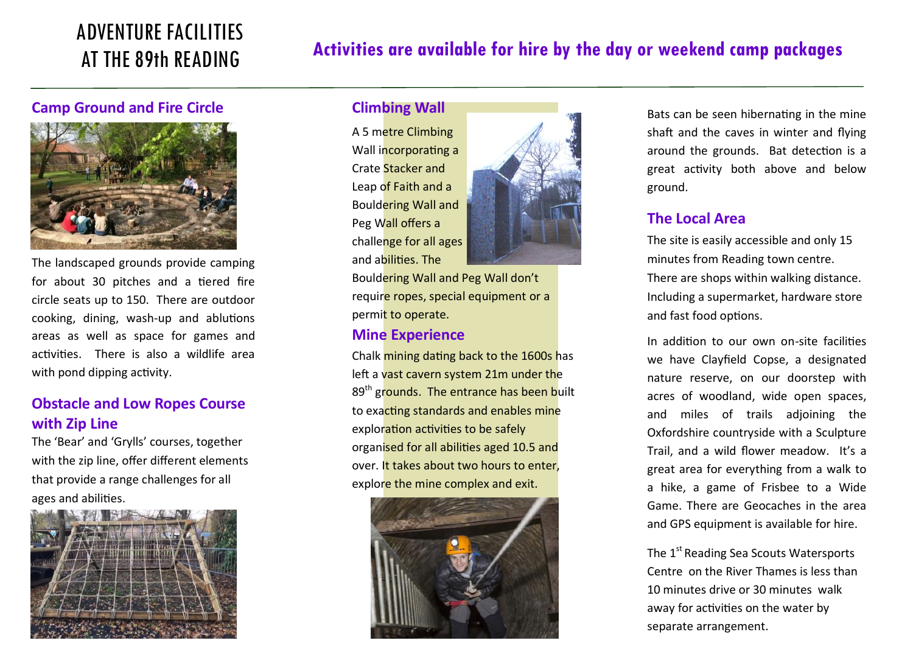# ADVENTURE FACILITIES AT THE 89th READING

# **Activities are available for hire by the day or weekend camp packages**

#### **Camp Ground and Fire Circle**



The landscaped grounds provide camping for about 30 pitches and a tiered fire circle seats up to 150. There are outdoor cooking, dining, wash-up and ablutions areas as well as space for games and activities. There is also a wildlife area with pond dipping activity.

# **Obstacle and Low Ropes Course with Zip Line**

The 'Bear' and 'Grylls' courses, together with the zip line, offer different elements that provide a range challenges for all ages and abilities.



#### **Climbing Wall**

A 5 metre Climbing Wall incorporating a Crate Stacker and Leap of Faith and a Bouldering Wall and Peg Wall offers a challenge for all ages and abilities. The



Bouldering Wall and Peg Wall don't require ropes, special equipment or a permit to operate.

#### **Mine Experience**

Chalk mining dating back to the 1600s has left a vast cavern system 21m under the 89<sup>th</sup> grounds. The entrance has been built to exacting standards and enables mine exploration activities to be safely organised for all abilities aged 10.5 and over. It takes about two hours to enter, explore the mine complex and exit.



Bats can be seen hibernating in the mine shaft and the caves in winter and flying around the grounds. Bat detection is a great activity both above and below ground.

#### **The Local Area**

The site is easily accessible and only 15 minutes from Reading town centre. There are shops within walking distance. Including a supermarket, hardware store and fast food options.

In addition to our own on-site facilities we have Clayfield Copse, a designated nature reserve, on our doorstep with acres of woodland, wide open spaces, and miles of trails adjoining the Oxfordshire countryside with a Sculpture Trail, and a wild flower meadow. It's a great area for everything from a walk to a hike, a game of Frisbee to a Wide Game. There are Geocaches in the area and GPS equipment is available for hire.

The 1<sup>st</sup> Reading Sea Scouts Watersports Centre on the River Thames is less than 10 minutes drive or 30 minutes walk away for activities on the water by separate arrangement.